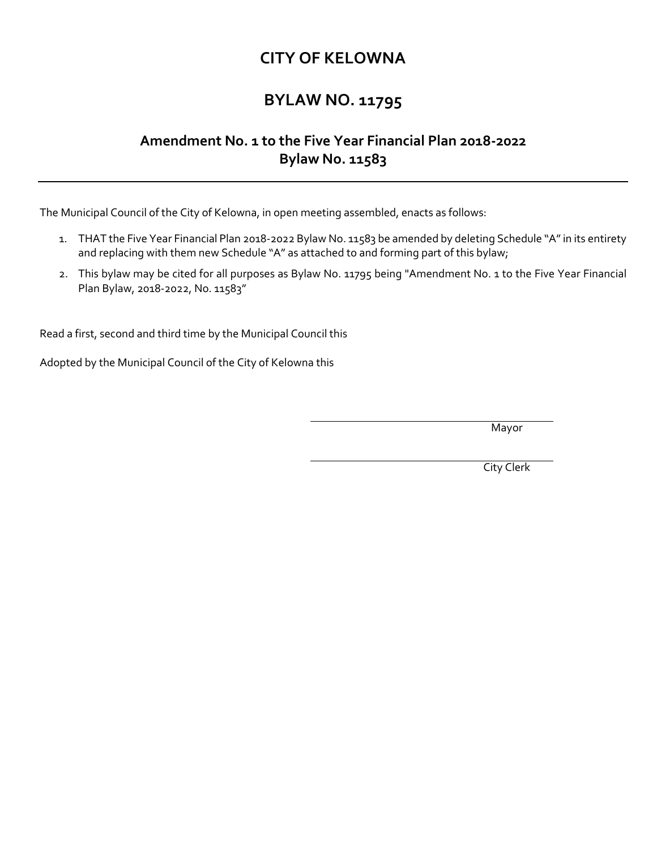## **CITY OF KELOWNA**

## **BYLAW NO. 11795**

## **Amendment No. 1 to the Five Year Financial Plan 2018-2022 Bylaw No. 11583**

The Municipal Council of the City of Kelowna, in open meeting assembled, enacts as follows:

- 1. THAT the Five Year Financial Plan 2018-2022 Bylaw No. 11583 be amended by deleting Schedule "A" in its entirety and replacing with them new Schedule "A" as attached to and forming part of this bylaw;
- 2. This bylaw may be cited for all purposes as Bylaw No. 11795 being "Amendment No. 1 to the Five Year Financial Plan Bylaw, 2018-2022, No. 11583"

Read a first, second and third time by the Municipal Council this

Adopted by the Municipal Council of the City of Kelowna this

Mayor

City Clerk